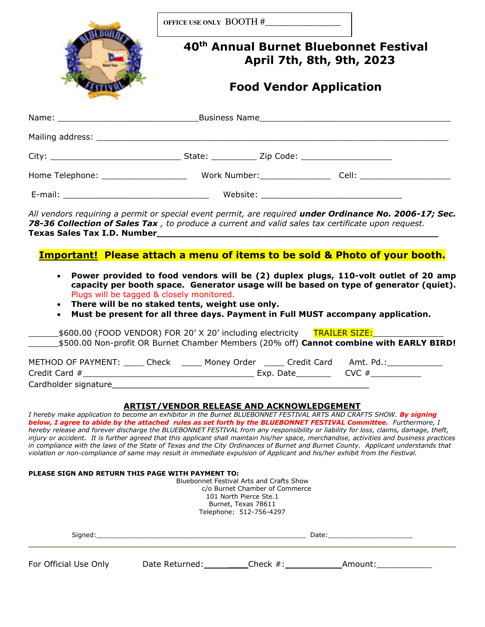|  | 40 <sup>th</sup> Annual Burnet Bluebonnet Festival<br>April 7th, 8th, 9th, 2023 |  |  |  |  |
|--|---------------------------------------------------------------------------------|--|--|--|--|
|  | <b>Food Vendor Application</b>                                                  |  |  |  |  |
|  |                                                                                 |  |  |  |  |
|  |                                                                                 |  |  |  |  |
|  |                                                                                 |  |  |  |  |
|  |                                                                                 |  |  |  |  |
|  |                                                                                 |  |  |  |  |

### **Important! Please attach a menu of items to be sold & Photo of your booth.**

- **Power provided to food vendors will be (2) duplex plugs, 110-volt outlet of 20 amp capacity per booth space. Generator usage will be based on type of generator (quiet).**  Plugs will be tagged & closely monitored.
- **There will be no staked tents, weight use only.**
- **Must be present for all three days. Payment in Full MUST accompany application.**

| _\$600.00 (FOOD VENDOR) FOR 20' X 20' including electricity TRAILER SIZE:                      |                         |                   |                            |  |
|------------------------------------------------------------------------------------------------|-------------------------|-------------------|----------------------------|--|
| \$500.00 Non-profit OR Burnet Chamber Members (20% off) <b>Cannot combine with EARLY BIRD!</b> |                         |                   |                            |  |
|                                                                                                |                         |                   |                            |  |
| METHOD OF PAYMENT: Check                                                                       | Money Order Credit Card |                   | Amt. Pd.: International Am |  |
| Credit Card #                                                                                  |                         | Exp. Date________ | $\text{CVC}$ #             |  |
| Cardholder signature                                                                           |                         |                   |                            |  |

#### **ARTIST/VENDOR RELEASE AND ACKNOWLEDGEMENT**

*I hereby make application to become an exhibitor in the Burnet BLUEBONNET FESTIVAL ARTS AND CRAFTS SHOW.* By signing *below, I agree to abide by the attached rules as set forth by the BLUEBONNET FESTIVAL Committee. Furthermore, I hereby release and forever discharge the BLUEBONNET FESTIVAL from any responsibility or liability for loss, claims, damage, theft, injury or accident. It is further agreed that this applicant shall maintain his/her space, merchandise, activities and business practices in compliance with the laws of the State of Texas and the City Ordinances of Burnet and Burnet County. Applicant understands that violation or non-compliance of same may result in immediate expulsion of Applicant and his/her exhibit from the Festival.* 

#### **PLEASE SIGN AND RETURN THIS PAGE WITH PAYMENT TO:**

Bluebonnet Festival Arts and Crafts Show c/o Burnet Chamber of Commerce 101 North Pierce Ste.1 Burnet, Texas 78611 Telephone: 512-756-4297

| Signed:               |                |             | Date:   |  |
|-----------------------|----------------|-------------|---------|--|
| For Official Use Only | Date Returned: | Check $#$ : | Amount: |  |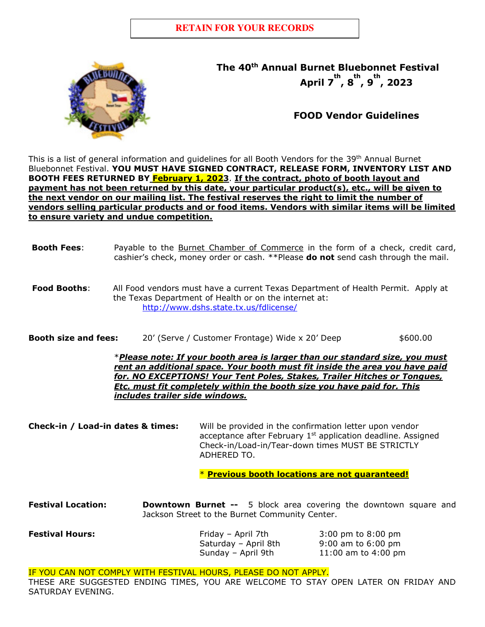

**The 40th Annual Burnet Bluebonnet Festival April 7 th , 8 th , 9 th , 2023** 

# **FOOD Vendor Guidelines**

This is a list of general information and guidelines for all Booth Vendors for the 39<sup>th</sup> Annual Burnet Bluebonnet Festival. **YOU MUST HAVE SIGNED CONTRACT, RELEASE FORM, INVENTORY LIST AND BOOTH FEES RETURNED BY February 1, 2023**. **If the contract, photo of booth layout and payment has not been returned by this date, your particular product(s), etc., will be given to the next vendor on our mailing list. The festival reserves the right to limit the number of vendors selling particular products and or food items. Vendors with similar items will be limited to ensure variety and undue competition.**

## **Booth Fees:** Payable to the **Burnet Chamber of Commerce** in the form of a check, credit card, cashier's check, money order or cash. \*\*Please **do not** send cash through the mail.

- **Food Booths**: All Food vendors must have a current Texas Department of Health Permit. Apply at the Texas Department of Health or on the internet at: <http://www.dshs.state.tx.us/fdlicense/>
- **Booth size and fees:** 20' (Serve / Customer Frontage) Wide x 20' Deep \$600.00

\**Please note: If your booth area is larger than our standard size, you must rent an additional space. Your booth must fit inside the area you have paid for. NO EXCEPTIONS! Your Tent Poles, Stakes, Trailer Hitches or Tongues, Etc. must fit completely within the booth size you have paid for. This includes trailer side windows.* 

**Check-in / Load-in dates & times:** Will be provided in the confirmation letter upon vendor acceptance after February  $1<sup>st</sup>$  application deadline. Assigned Check-in/Load-in/Tear-down times MUST BE STRICTLY ADHERED TO.

\* **Previous booth locations are not guaranteed!**

**Festival Location: Downtown Burnet --** 5 block area covering the downtown square and Jackson Street to the Burnet Community Center.

**Festival Hours:** The Section of Friday – April 7th 3:00 pm to 8:00 pm

Saturday – April 8th 9:00 am to 6:00 pm Sunday – April 9th  $11:00$  am to 4:00 pm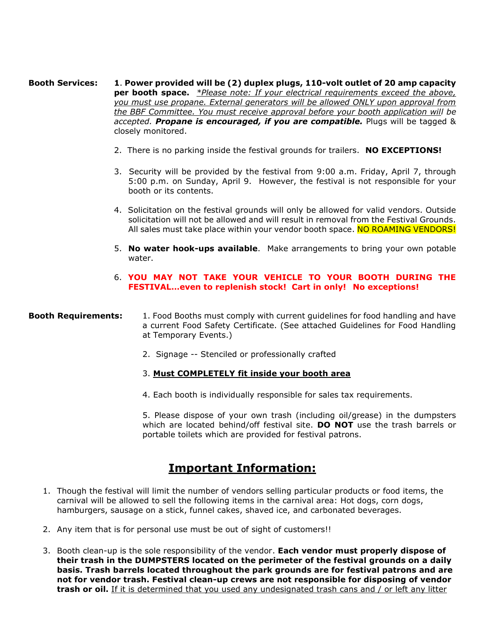**Booth Services: 1**. **Power provided will be (2) duplex plugs, 110-volt outlet of 20 amp capacity per booth space.** *\*Please note: If your electrical requirements exceed the above, you must use propane. External generators will be allowed ONLY upon approval from the BBF Committee. You must receive approval before your booth application will be accepted. Propane is encouraged, if you are compatible.* Plugs will be tagged & closely monitored.

- 2. There is no parking inside the festival grounds for trailers. **NO EXCEPTIONS!**
- 3. Security will be provided by the festival from 9:00 a.m. Friday, April 7, through 5:00 p.m. on Sunday, April 9. However, the festival is not responsible for your booth or its contents.
- 4. Solicitation on the festival grounds will only be allowed for valid vendors. Outside solicitation will not be allowed and will result in removal from the Festival Grounds. All sales must take place within your vendor booth space. NO ROAMING VENDORS!
- 5. **No water hook-ups available**. Make arrangements to bring your own potable water.

### 6. **YOU MAY NOT TAKE YOUR VEHICLE TO YOUR BOOTH DURING THE FESTIVAL…even to replenish stock! Cart in only! No exceptions!**

### **Booth Requirements:** 1. Food Booths must comply with current quidelines for food handling and have a current Food Safety Certificate. (See attached Guidelines for Food Handling at Temporary Events.)

2. Signage -- Stenciled or professionally crafted

### 3. **Must COMPLETELY fit inside your booth area**

4. Each booth is individually responsible for sales tax requirements.

5. Please dispose of your own trash (including oil/grease) in the dumpsters which are located behind/off festival site. **DO NOT** use the trash barrels or portable toilets which are provided for festival patrons.

# **Important Information:**

- 1. Though the festival will limit the number of vendors selling particular products or food items, the carnival will be allowed to sell the following items in the carnival area: Hot dogs, corn dogs, hamburgers, sausage on a stick, funnel cakes, shaved ice, and carbonated beverages.
- 2. Any item that is for personal use must be out of sight of customers!!
- 3. Booth clean-up is the sole responsibility of the vendor. **Each vendor must properly dispose of their trash in the DUMPSTERS located on the perimeter of the festival grounds on a daily basis. Trash barrels located throughout the park grounds are for festival patrons and are not for vendor trash. Festival clean-up crews are not responsible for disposing of vendor trash or oil.** If it is determined that you used any undesignated trash cans and / or left any litter